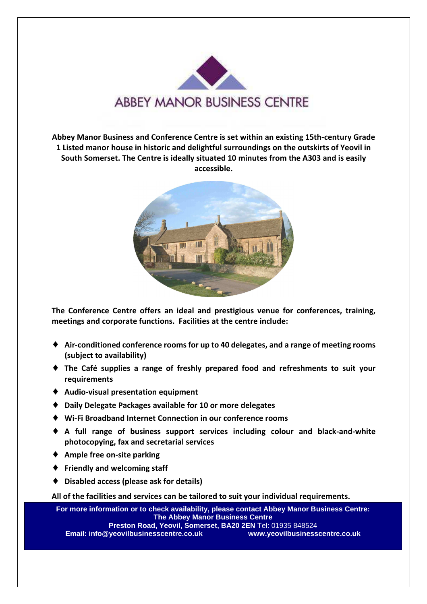

**Abbey Manor Business and Conference Centre is set within an existing 15th-century Grade 1 Listed manor house in historic and delightful surroundings on the outskirts of Yeovil in South Somerset. The Centre is ideally situated 10 minutes from the A303 and is easily accessible.** 



**The Conference Centre offers an ideal and prestigious venue for conferences, training, meetings and corporate functions. Facilities at the centre include:** 

- ♦ **Air-conditioned conference rooms for up to 40 delegates, and a range of meeting rooms (subject to availability)**
- ♦ **The Café supplies a range of freshly prepared food and refreshments to suit your requirements**
- ♦ **Audio-visual presentation equipment**
- ♦ **Daily Delegate Packages available for 10 or more delegates**
- ♦ **Wi-Fi Broadband Internet Connection in our conference rooms**
- ♦ **A full range of business support services including colour and black-and-white photocopying, fax and secretarial services**
- ♦ **Ample free on-site parking**
- ♦ **Friendly and welcoming staff**
- ♦ **Disabled access (please ask for details)**

**All of the facilities and services can be tailored to suit your individual requirements.**

**For more information or to check availability, please contact Abbey Manor Business Centre: The Abbey Manor Business Centre Preston Road, Yeovil, Somerset, BA20 2EN** Tel: 01935 848524 **Email: info@yeovilbusinesscentre.co.uk www.yeovilbusinesscentre.co.uk**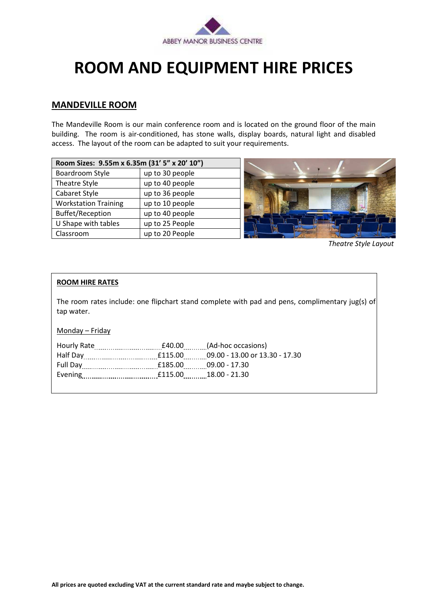

## **ROOM AND EQUIPMENT HIRE PRICES**

## **MANDEVILLE ROOM**

The Mandeville Room is our main conference room and is located on the ground floor of the main building. The room is air-conditioned, has stone walls, display boards, natural light and disabled access. The layout of the room can be adapted to suit your requirements.

| Room Sizes: 9.55m x 6.35m (31' 5" x 20' 10") |                 |  |
|----------------------------------------------|-----------------|--|
| Boardroom Style                              | up to 30 people |  |
| Theatre Style                                | up to 40 people |  |
| Cabaret Style                                | up to 36 people |  |
| <b>Workstation Training</b>                  | up to 10 people |  |
| <b>Buffet/Reception</b>                      | up to 40 people |  |
| U Shape with tables                          | up to 25 People |  |
| Classroom                                    | up to 20 People |  |



*Theatre Style Layout*

### **ROOM HIRE RATES**

The room rates include: one flipchart stand complete with pad and pens, complimentary jug(s) of tap water.

Monday – Friday

| <b>Hourly Rate</b> |         | £40.00 (Ad-hoc occasions)      |
|--------------------|---------|--------------------------------|
| Half Day           | £115.00 | 09.00 - 13.00 or 13.30 - 17.30 |
| <b>Full Day</b>    | £185.00 | 09.00 - 17.30                  |
| Evening            | £115.00 | 18.00 - 21.30                  |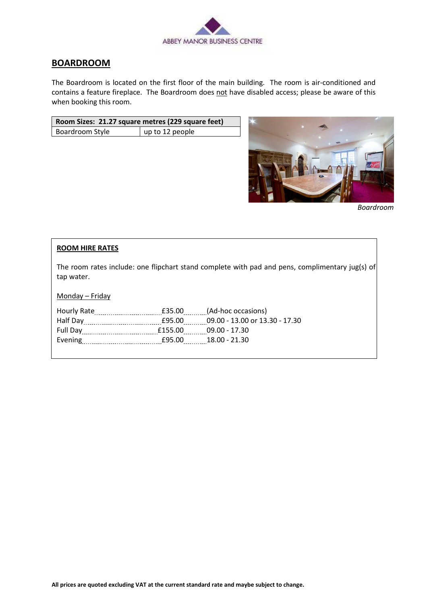

## **BOARDROOM**

The Boardroom is located on the first floor of the main building. The room is air-conditioned and contains a feature fireplace. The Boardroom does not have disabled access; please be aware of this when booking this room.

| Room Sizes: 21.27 square metres (229 square feet) |                 |  |
|---------------------------------------------------|-----------------|--|
| Boardroom Style                                   | up to 12 people |  |



*Boardroom*

## **ROOM HIRE RATES**

The room rates include: one flipchart stand complete with pad and pens, complimentary jug(s) of tap water.

Monday – Friday

| <b>Hourly Rate</b>          |         | <b>E35.00</b> (Ad-hoc occasions) |
|-----------------------------|---------|----------------------------------|
|                             | £95.00  | 09.00 - 13.00 or 13.30 - 17.30   |
| Full Day                    | £155.00 | 09.00 - 17.30                    |
| Evening <b>Example 1999</b> | £95.00  | 18.00 - 21.30                    |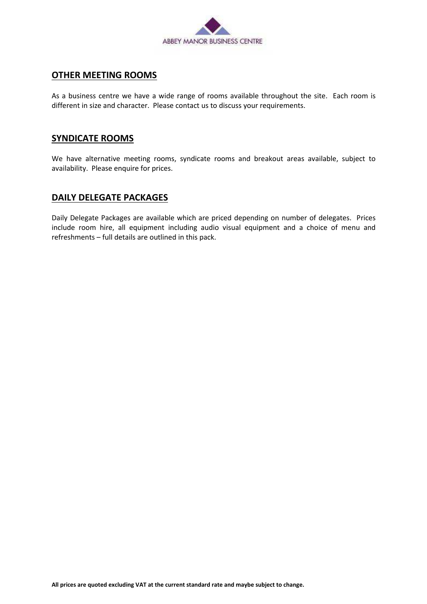

## **OTHER MEETING ROOMS**

As a business centre we have a wide range of rooms available throughout the site. Each room is different in size and character. Please contact us to discuss your requirements.

## **SYNDICATE ROOMS**

We have alternative meeting rooms, syndicate rooms and breakout areas available, subject to availability. Please enquire for prices.

## **DAILY DELEGATE PACKAGES**

Daily Delegate Packages are available which are priced depending on number of delegates. Prices include room hire, all equipment including audio visual equipment and a choice of menu and refreshments – full details are outlined in this pack.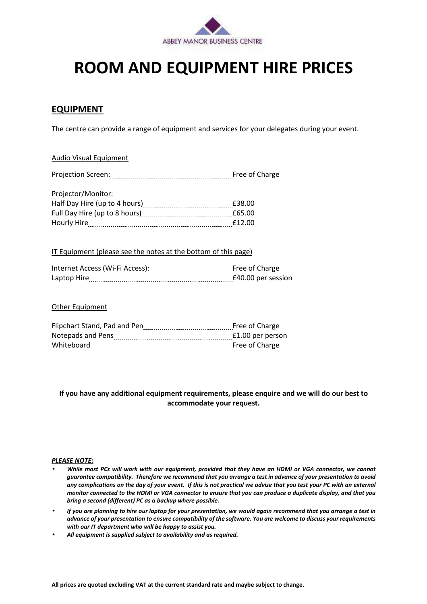

## **ROOM AND EQUIPMENT HIRE PRICES**

## **EQUIPMENT**

The centre can provide a range of equipment and services for your delegates during your event.

#### Audio Visual Equipment

| <b>Projection Screen:</b>                                        | Free of Charge |
|------------------------------------------------------------------|----------------|
|                                                                  |                |
| Projector/Monitor:                                               |                |
| Half Day Hire (up to 4 hours) [11] Half Day Hire (up to 4 hours) | £38.00         |
|                                                                  | £65.00         |
| Hourly Hire                                                      | £12.00         |

#### IT Equipment (please see the notes at the bottom of this page)

| Internet Access (Wi-Fi Access): |                    |
|---------------------------------|--------------------|
| Laptop Hire                     | £40.00 per session |

### Other Equipment

| Flipchart Stand, Pad and Pen | Free of Charge   |
|------------------------------|------------------|
| Notepads and Pens            | £1.00 per person |
| Whiteboard                   | Free of Charge   |

### **If you have any additional equipment requirements, please enquire and we will do our best to accommodate your request.**

#### *PLEASE NOTE:*

- *While most PCs will work with our equipment, provided that they have an HDMI or VGA connector, we cannot guarantee compatibility. Therefore we recommend that you arrange a test in advance of your presentation to avoid any complications on the day of your event. If this is not practical we advise that you test your PC with an external monitor connected to the HDMI or VGA connector to ensure that you can produce a duplicate display, and that you bring a second (different) PC as a backup where possible.*
- *If you are planning to hire our laptop for your presentation, we would again recommend that you arrange a test in advance of your presentation to ensure compatibility of the software. You are welcome to discuss your requirements with our IT department who will be happy to assist you.*
- *All equipment is supplied subject to availability and as required.*

**All prices are quoted excluding VAT at the current standard rate and maybe subject to change.**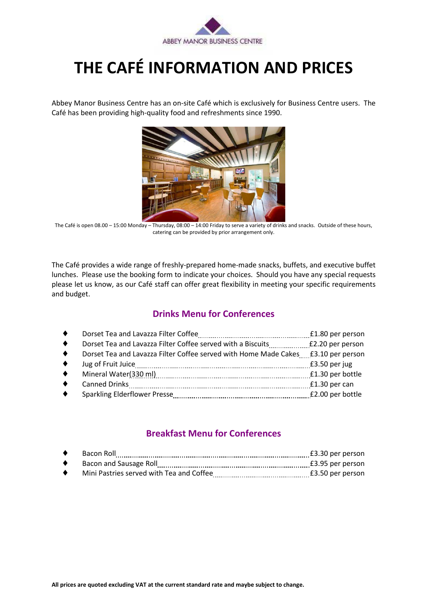

# **THE CAFÉ INFORMATION AND PRICES**

Abbey Manor Business Centre has an on-site Café which is exclusively for Business Centre users. The Café has been providing high-quality food and refreshments since 1990.



The Café is open 08.00 – 15:00 Monday – Thursday, 08:00 – 14:00 Friday to serve a variety of drinks and snacks. Outside of these hours, catering can be provided by prior arrangement only.

The Café provides a wide range of freshly-prepared home-made snacks, buffets, and executive buffet lunches. Please use the booking form to indicate your choices. Should you have any special requests please let us know, as our Café staff can offer great flexibility in meeting your specific requirements and budget.

## **Drinks Menu for Conferences**

| $\bullet$ | Dorset Tea and Lavazza Filter Coffee                             | £1.80 per person |
|-----------|------------------------------------------------------------------|------------------|
| $\bullet$ | Dorset Tea and Lavazza Filter Coffee served with a Biscuits      | £2.20 per person |
| $\bullet$ | Dorset Tea and Lavazza Filter Coffee served with Home Made Cakes | £3.10 per person |
| $\bullet$ | Jug of Fruit Juice                                               | £3.50 per jug    |
| $\bullet$ | Mineral Water(330 ml)                                            | £1.30 per bottle |
| $\bullet$ | Canned Drinks                                                    | £1.30 per can    |
| $\bullet$ | Sparkling Elderflower Presse                                     | £2.00 per bottle |
|           |                                                                  |                  |

## **Breakfast Menu for Conferences**

| Bacon Roll                               | £3.30 per person |
|------------------------------------------|------------------|
| Bacon and Sausage Roll                   | £3.95 per person |
| Mini Pastries served with Tea and Coffee | £3.50 per person |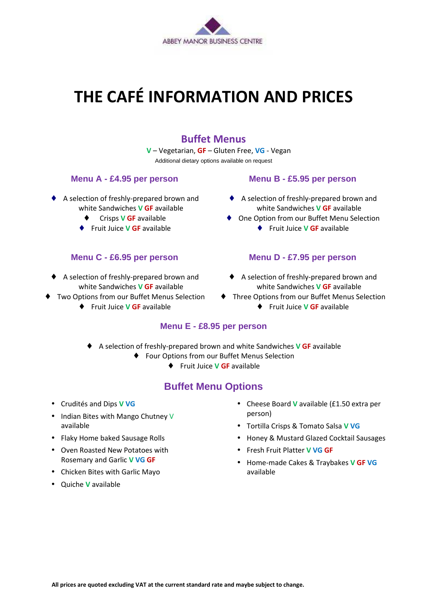

# **THE CAFÉ INFORMATION AND PRICES**

## **Buffet Menus**

**V** – Vegetarian, **GF** – Gluten Free, **VG** - Vegan Additional dietary options available on request

## **Menu A - £4.95 per person**

- ♦ A selection of freshly-prepared brown and white Sandwiches **V GF** available
	- ♦ Crisps **V GF** available
	- ♦ Fruit Juice **V GF** available

## **Menu C - £6.95 per person**

- ♦ A selection of freshly-prepared brown and white Sandwiches **V GF** available
- ♦ Two Options from our Buffet Menus Selection
	- ♦ Fruit Juice **V GF** available

## **Menu B - £5.95 per person**

- ♦ A selection of freshly-prepared brown and white Sandwiches **V GF** available
- ♦ One Option from our Buffet Menu Selection
	- ♦ Fruit Juice **V GF** available

## **Menu D - £7.95 per person**

- ♦ A selection of freshly-prepared brown and white Sandwiches **V GF** available
- ♦ Three Options from our Buffet Menus Selection
	- ♦ Fruit Juice **V GF** available

## **Menu E - £8.95 per person**

- ♦ A selection of freshly-prepared brown and white Sandwiches **V GF** available
	- ♦ Four Options from our Buffet Menus Selection
		- ♦ Fruit Juice **V GF** available

## **Buffet Menu Options**

- Crudités and Dips **V VG**
- Indian Bites with Mango Chutney V available
- Flaky Home baked Sausage Rolls
- Oven Roasted New Potatoes with Rosemary and Garlic **V VG GF**
- Chicken Bites with Garlic Mayo
- Quiche **V** available
- Cheese Board **V** available (£1.50 extra per person)
- Tortilla Crisps & Tomato Salsa **V VG**
- Honey & Mustard Glazed Cocktail Sausages
- Fresh Fruit Platter **V VG GF**
- Home-made Cakes & Traybakes **V GF VG** available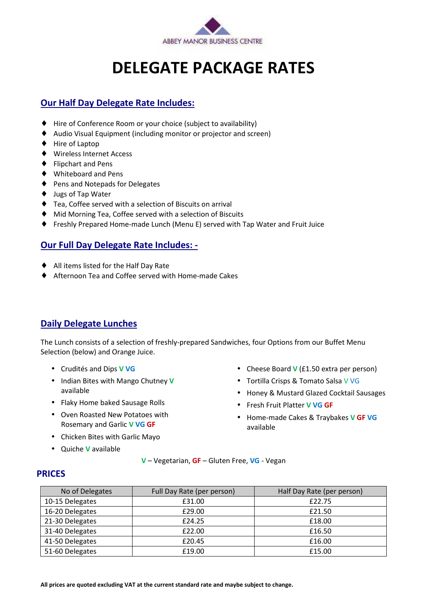

# **DELEGATE PACKAGE RATES**

## **Our Half Day Delegate Rate Includes:**

- ♦ Hire of Conference Room or your choice (subject to availability)
- ♦ Audio Visual Equipment (including monitor or projector and screen)
- ♦ Hire of Laptop
- ♦ Wireless Internet Access
- ♦ Flipchart and Pens
- ♦ Whiteboard and Pens
- ♦ Pens and Notepads for Delegates
- ♦ Jugs of Tap Water
- ♦ Tea, Coffee served with a selection of Biscuits on arrival
- ♦ Mid Morning Tea, Coffee served with a selection of Biscuits
- ♦ Freshly Prepared Home-made Lunch (Menu E) served with Tap Water and Fruit Juice

## **Our Full Day Delegate Rate Includes: -**

- ♦ All items listed for the Half Day Rate
- ♦ Afternoon Tea and Coffee served with Home-made Cakes

## **Daily Delegate Lunches**

The Lunch consists of a selection of freshly-prepared Sandwiches, four Options from our Buffet Menu Selection (below) and Orange Juice.

- Crudités and Dips **V VG**
- Indian Bites with Mango Chutney **V**  available
- Flaky Home baked Sausage Rolls
- Oven Roasted New Potatoes with Rosemary and Garlic **V VG GF**
- Chicken Bites with Garlic Mayo
- Quiche **V** available
- Cheese Board **V** (£1.50 extra per person)
- Tortilla Crisps & Tomato Salsa V VG
- Honey & Mustard Glazed Cocktail Sausages
- Fresh Fruit Platter **V VG GF**
- Home-made Cakes & Traybakes **V GF VG** available

**V** – Vegetarian, **GF** – Gluten Free, **VG** - Vegan

## **PRICES**

| No of Delegates | Full Day Rate (per person) | Half Day Rate (per person) |
|-----------------|----------------------------|----------------------------|
| 10-15 Delegates | £31.00                     | £22.75                     |
| 16-20 Delegates | £29.00                     | £21.50                     |
| 21-30 Delegates | £24.25                     | £18.00                     |
| 31-40 Delegates | £22.00                     | £16.50                     |
| 41-50 Delegates | £20.45                     | £16.00                     |
| 51-60 Delegates | £19.00                     | £15.00                     |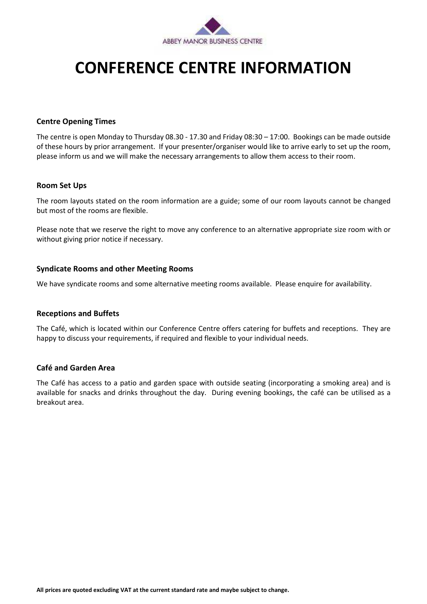

## **CONFERENCE CENTRE INFORMATION**

### **Centre Opening Times**

The centre is open Monday to Thursday 08.30 - 17.30 and Friday 08:30 – 17:00. Bookings can be made outside of these hours by prior arrangement. If your presenter/organiser would like to arrive early to set up the room, please inform us and we will make the necessary arrangements to allow them access to their room.

#### **Room Set Ups**

The room layouts stated on the room information are a guide; some of our room layouts cannot be changed but most of the rooms are flexible.

Please note that we reserve the right to move any conference to an alternative appropriate size room with or without giving prior notice if necessary.

### **Syndicate Rooms and other Meeting Rooms**

We have syndicate rooms and some alternative meeting rooms available. Please enquire for availability.

### **Receptions and Buffets**

The Café, which is located within our Conference Centre offers catering for buffets and receptions. They are happy to discuss your requirements, if required and flexible to your individual needs.

### **Café and Garden Area**

The Café has access to a patio and garden space with outside seating (incorporating a smoking area) and is available for snacks and drinks throughout the day. During evening bookings, the café can be utilised as a breakout area.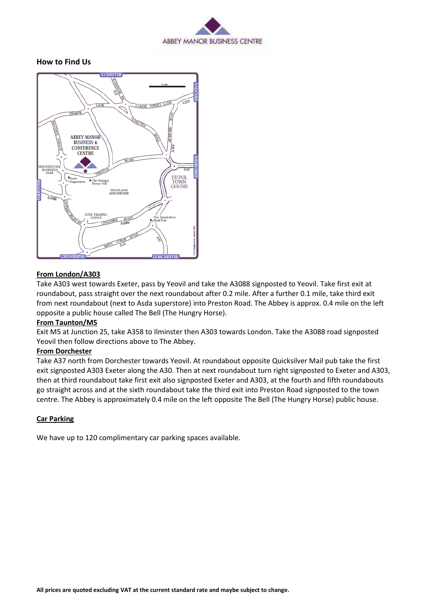

### **How to Find Us**



#### **From London/A303**

Take A303 west towards Exeter, pass by Yeovil and take the A3088 signposted to Yeovil. Take first exit at roundabout, pass straight over the next roundabout after 0.2 mile. After a further 0.1 mile, take third exit from next roundabout (next to Asda superstore) into Preston Road. The Abbey is approx. 0.4 mile on the left opposite a public house called The Bell (The Hungry Horse).

#### **From Taunton/M5**

Exit M5 at Junction 25, take A358 to Ilminster then A303 towards London. Take the A3088 road signposted Yeovil then follow directions above to The Abbey.

#### **From Dorchester**

Take A37 north from Dorchester towards Yeovil. At roundabout opposite Quicksilver Mail pub take the first exit signposted A303 Exeter along the A30. Then at next roundabout turn right signposted to Exeter and A303, then at third roundabout take first exit also signposted Exeter and A303, at the fourth and fifth roundabouts go straight across and at the sixth roundabout take the third exit into Preston Road signposted to the town centre. The Abbey is approximately 0.4 mile on the left opposite The Bell (The Hungry Horse) public house.

### **Car Parking**

We have up to 120 complimentary car parking spaces available.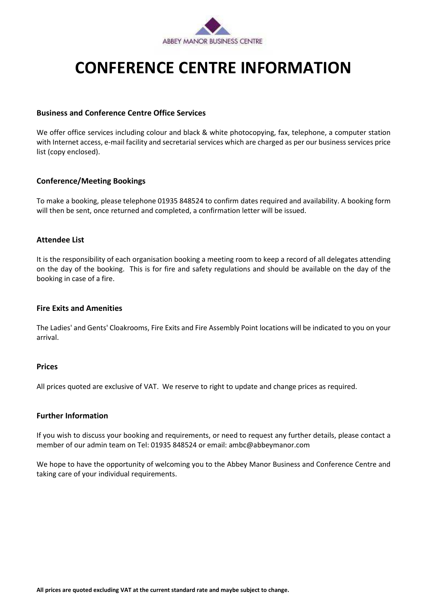

## **CONFERENCE CENTRE INFORMATION**

### **Business and Conference Centre Office Services**

We offer office services including colour and black & white photocopying, fax, telephone, a computer station with Internet access, e-mail facility and secretarial services which are charged as per our business services price list (copy enclosed).

### **Conference/Meeting Bookings**

To make a booking, please telephone 01935 848524 to confirm dates required and availability. A booking form will then be sent, once returned and completed, a confirmation letter will be issued.

### **Attendee List**

It is the responsibility of each organisation booking a meeting room to keep a record of all delegates attending on the day of the booking. This is for fire and safety regulations and should be available on the day of the booking in case of a fire.

### **Fire Exits and Amenities**

The Ladies' and Gents' Cloakrooms, Fire Exits and Fire Assembly Point locations will be indicated to you on your arrival.

### **Prices**

All prices quoted are exclusive of VAT. We reserve to right to update and change prices as required.

### **Further Information**

If you wish to discuss your booking and requirements, or need to request any further details, please contact a member of our admin team on Tel: 01935 848524 or email: ambc@abbeymanor.com

We hope to have the opportunity of welcoming you to the Abbey Manor Business and Conference Centre and taking care of your individual requirements.